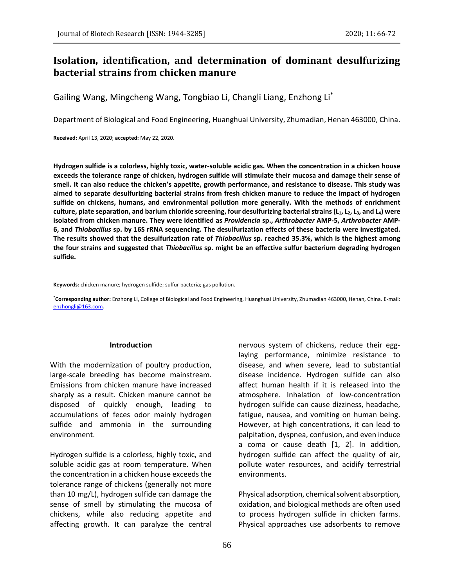# **Isolation, identification, and determination of dominant desulfurizing bacterial strains from chicken manure**

Gailing Wang, Mingcheng Wang, Tongbiao Li, Changli Liang, Enzhong Li\*

Department of Biological and Food Engineering, Huanghuai University, Zhumadian, Henan 463000, China.

**Received:** April 13, 2020; **accepted:** May 22, 2020.

**Hydrogen sulfide is a colorless, highly toxic, water-soluble acidic gas. When the concentration in a chicken house exceeds the tolerance range of chicken, hydrogen sulfide will stimulate their mucosa and damage their sense of smell. It can also reduce the chicken's appetite, growth performance, and resistance to disease. This study was aimed to separate desulfurizing bacterial strains from fresh chicken manure to reduce the impact of hydrogen sulfide on chickens, humans, and environmental pollution more generally. With the methods of enrichment culture, plate separation, and barium chloride screening, four desulfurizing bacterial strains (L1, L2, L3, and L4) were isolated from chicken manure. They were identified as** *Providencia* **sp.,** *Arthrobacter* **AMP-5,** *Arthrobacter* **AMP-6, and** *Thiobacillus* **sp. by 16S rRNA sequencing. The desulfurization effects of these bacteria were investigated. The results showed that the desulfurization rate of** *Thiobacillus* **sp. reached 35.3%, which is the highest among the four strains and suggested that** *Thiobacillus* **sp. might be an effective sulfur bacterium degrading hydrogen sulfide.**

**Keywords:** chicken manure; hydrogen sulfide; sulfur bacteria; gas pollution.

**\*Corresponding author:** Enzhong Li, College of Biological and Food Engineering, Huanghuai University, Zhumadian 463000, Henan, China. E-mail: [enzhongli@163.com.](mailto:enzhongli@163.com) 

#### **Introduction**

With the modernization of poultry production, large-scale breeding has become mainstream. Emissions from chicken manure have increased sharply as a result. Chicken manure cannot be disposed of quickly enough, leading to accumulations of feces odor mainly hydrogen sulfide and ammonia in the surrounding environment.

Hydrogen sulfide is a colorless, highly toxic, and soluble acidic gas at room temperature. When the concentration in a chicken house exceeds the tolerance range of chickens (generally not more than 10 mg/L), hydrogen sulfide can damage the sense of smell by stimulating the mucosa of chickens, while also reducing appetite and affecting growth. It can paralyze the central

nervous system of chickens, reduce their egglaying performance, minimize resistance to disease, and when severe, lead to substantial disease incidence. Hydrogen sulfide can also affect human health if it is released into the atmosphere. Inhalation of low-concentration hydrogen sulfide can cause dizziness, headache, fatigue, nausea, and vomiting on human being. However, at high concentrations, it can lead to palpitation, dyspnea, confusion, and even induce a coma or cause death [1, 2]. In addition, hydrogen sulfide can affect the quality of air, pollute water resources, and acidify terrestrial environments.

Physical adsorption, chemical solvent absorption, oxidation, and biological methods are often used to process hydrogen sulfide in chicken farms. Physical approaches use adsorbents to remove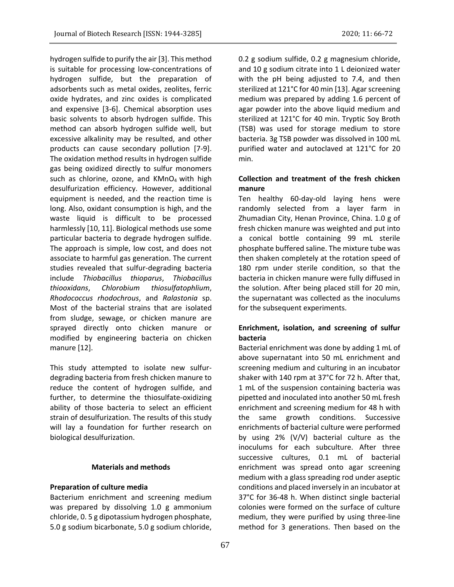hydrogen sulfide to purify the air [3]. This method is suitable for processing low-concentrations of hydrogen sulfide, but the preparation of adsorbents such as metal oxides, zeolites, ferric oxide hydrates, and zinc oxides is complicated and expensive [3-6]. Chemical absorption uses basic solvents to absorb hydrogen sulfide. This

method can absorb hydrogen sulfide well, but excessive alkalinity may be resulted, and other products can cause secondary pollution [7-9]. The oxidation method results in hydrogen sulfide gas being oxidized directly to sulfur monomers such as chlorine, ozone, and KMnO<sub>4</sub> with high desulfurization efficiency. However, additional equipment is needed, and the reaction time is long. Also, oxidant consumption is high, and the waste liquid is difficult to be processed harmlessly [10, 11]. Biological methods use some particular bacteria to degrade hydrogen sulfide. The approach is simple, low cost, and does not associate to harmful gas generation. The current studies revealed that sulfur-degrading bacteria include *Thiobacillus thioparus*, *Thiobacillus thiooxidans*, *Chlorobium thiosulfatophlium*, *Rhodococcus rhodochrous*, and *Ralastonia* sp. Most of the bacterial strains that are isolated from sludge, sewage, or chicken manure are sprayed directly onto chicken manure or modified by engineering bacteria on chicken manure [12].

This study attempted to isolate new sulfurdegrading bacteria from fresh chicken manure to reduce the content of hydrogen sulfide, and further, to determine the thiosulfate-oxidizing ability of those bacteria to select an efficient strain of desulfurization. The results of this study will lay a foundation for further research on biological desulfurization.

## **Materials and methods**

## **Preparation of culture media**

Bacterium enrichment and screening medium was prepared by dissolving 1.0 g ammonium chloride, 0. 5 g dipotassium hydrogen phosphate, 5.0 g sodium bicarbonate, 5.0 g sodium chloride,

0.2 g sodium sulfide, 0.2 g magnesium chloride, and 10 g sodium citrate into 1 L deionized water with the pH being adjusted to 7.4, and then sterilized at 121°C for 40 min [13]. Agar screening medium was prepared by adding 1.6 percent of agar powder into the above liquid medium and sterilized at 121°C for 40 min. Tryptic Soy Broth (TSB) was used for storage medium to store bacteria. 3g TSB powder was dissolved in 100 mL purified water and autoclaved at 121°C for 20 min.

# **Collection and treatment of the fresh chicken manure**

Ten healthy 60-day-old laying hens were randomly selected from a layer farm in Zhumadian City, Henan Province, China. 1.0 g of fresh chicken manure was weighted and put into a conical bottle containing 99 mL sterile phosphate buffered saline. The mixture tube was then shaken completely at the rotation speed of 180 rpm under sterile condition, so that the bacteria in chicken manure were fully diffused in the solution. After being placed still for 20 min, the supernatant was collected as the inoculums for the subsequent experiments.

# **Enrichment, isolation, and screening of sulfur bacteria**

Bacterial enrichment was done by adding 1 mL of above supernatant into 50 mL enrichment and screening medium and culturing in an incubator shaker with 140 rpm at 37°C for 72 h. After that, 1 mL of the suspension containing bacteria was pipetted and inoculated into another 50 mL fresh enrichment and screening medium for 48 h with the same growth conditions. Successive enrichments of bacterial culture were performed by using 2% (V/V) bacterial culture as the inoculums for each subculture. After three successive cultures, 0.1 mL of bacterial enrichment was spread onto agar screening medium with a glass spreading rod under aseptic conditions and placed inversely in an incubator at 37°C for 36-48 h. When distinct single bacterial colonies were formed on the surface of culture medium, they were purified by using three-line method for 3 generations. Then based on the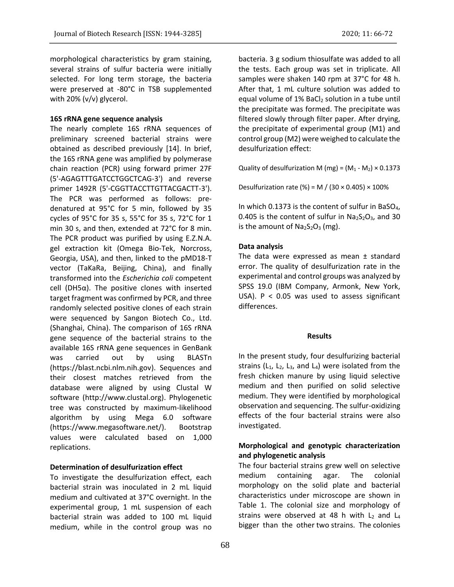morphological characteristics by gram staining, several strains of sulfur bacteria were initially selected. For long term storage, the bacteria were preserved at -80°C in TSB supplemented with 20% (v/v) glycerol.

### **16S rRNA gene sequence analysis**

The nearly complete 16S rRNA sequences of preliminary screened bacterial strains were obtained as described previously [14]. In brief, the 16S rRNA gene was amplified by polymerase chain reaction (PCR) using forward primer 27F (5'-AGAGTTTGATCCTGGCTCAG-3') and reverse primer 1492R (5'-CGGTTACCTTGTTACGACTT-3'). The PCR was performed as follows: predenatured at 95°C for 5 min, followed by 35 cycles of 95°C for 35 s, 55°C for 35 s, 72°C for 1 min 30 s, and then, extended at 72°C for 8 min. The PCR product was purified by using E.Z.N.A. gel extraction kit (Omega Bio-Tek, Norcross, Georgia, USA), and then, linked to the pMD18-T vector (TaKaRa, Beijing, China), and finally transformed into the *Escherichia coli* competent cell (DH5α). The positive clones with inserted target fragment was confirmed by PCR, and three randomly selected positive clones of each strain were sequenced by Sangon Biotech Co., Ltd. (Shanghai, China). The comparison of 16S rRNA gene sequence of the bacterial strains to the available 16S rRNA gene sequences in GenBank was carried out by using BLASTn (https://blast.ncbi.nlm.nih.gov). Sequences and their closest matches retrieved from the database were aligned by using Clustal W software (http://www.clustal.org). Phylogenetic tree was constructed by maximum-likelihood algorithm by using Mega 6.0 software (https://www.megasoftware.net/). Bootstrap values were calculated based on 1,000 replications.

#### **Determination of desulfurization effect**

To investigate the desulfurization effect, each bacterial strain was inoculated in 2 mL liquid medium and cultivated at 37°C overnight. In the experimental group, 1 mL suspension of each bacterial strain was added to 100 mL liquid medium, while in the control group was no

bacteria. 3 g sodium thiosulfate was added to all the tests. Each group was set in triplicate. All samples were shaken 140 rpm at 37°C for 48 h. After that, 1 mL culture solution was added to equal volume of 1% BaCl2 solution in a tube until the precipitate was formed. The precipitate was filtered slowly through filter paper. After drying, the precipitate of experimental group (M1) and control group (M2) were weighed to calculate the desulfurization effect:

Quality of desulfurization M (mg) =  $(M_1 - M_2) \times 0.1373$ 

Desulfurization rate (%) = M / (30  $\times$  0.405)  $\times$  100%

In which 0.1373 is the content of sulfur in BaSO<sub>4</sub>, 0.405 is the content of sulfur in  $Na<sub>2</sub>S<sub>2</sub>O<sub>3</sub>$ , and 30 is the amount of  $Na<sub>2</sub>S<sub>2</sub>O<sub>3</sub>$  (mg).

#### **Data analysis**

The data were expressed as mean ± standard error. The quality of desulfurization rate in the experimental and control groups was analyzed by SPSS 19.0 (IBM Company, Armonk, New York, USA). P < 0.05 was used to assess significant differences.

#### **Results**

In the present study, four desulfurizing bacterial strains ( $L_1$ ,  $L_2$ ,  $L_3$ , and  $L_4$ ) were isolated from the fresh chicken manure by using liquid selective medium and then purified on solid selective medium. They were identified by morphological observation and sequencing. The sulfur-oxidizing effects of the four bacterial strains were also investigated.

# **Morphological and genotypic characterization and phylogenetic analysis**

The four bacterial strains grew well on selective medium containing agar. The colonial morphology on the solid plate and bacterial characteristics under microscope are shown in Table 1. The colonial size and morphology of strains were observed at 48 h with  $L_2$  and  $L_4$ bigger than the other two strains. The colonies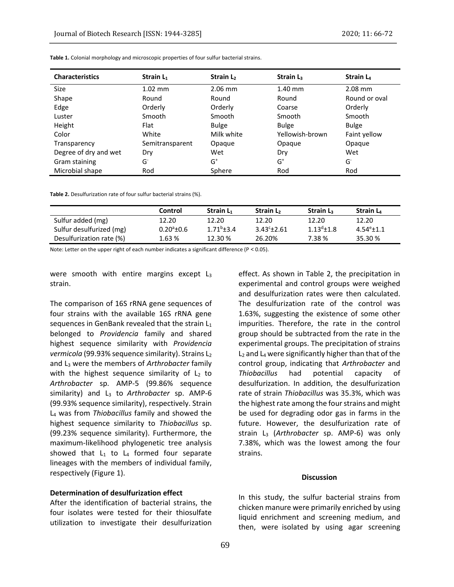| <b>Characteristics</b> | Strain $L_1$    | Strain L <sub>2</sub> | Strain $L3$     | Strain $L_4$  |
|------------------------|-----------------|-----------------------|-----------------|---------------|
| <b>Size</b>            | $1.02$ mm       | $2.06$ mm             | $1.40$ mm       | 2.08 mm       |
| Shape                  | Round           | Round                 | Round           | Round or oval |
| Edge                   | Orderly         | Orderly               | Coarse          | Orderly       |
| Luster                 | Smooth          | Smooth                | Smooth          | Smooth        |
| Height                 | Flat            | <b>Bulge</b>          | <b>Bulge</b>    | Bulge         |
| Color                  | White           | Milk white            | Yellowish-brown | Faint yellow  |
| Transparency           | Semitransparent | Opaque                | Opaque          | Opaque        |
| Degree of dry and wet  | Dry             | Wet                   | Dry             | Wet           |
| Gram staining          | G               | $G^+$                 | $G^+$           | G             |
| Microbial shape        | Rod             | Sphere                | Rod             | Rod           |

**Table 1.** Colonial morphology and microscopic properties of four sulfur bacterial strains.

**Table 2.** Desulfurization rate of four sulfur bacterial strains (%).

|                          | Control             | Strain $L_1$ | Strain L <sub>2</sub> | Strain $L_3$ | Strain L <sub>4</sub> |
|--------------------------|---------------------|--------------|-----------------------|--------------|-----------------------|
| Sulfur added (mg)        | 12.20               | 12.20        | 12.20                 | 12.20        | 12.20                 |
| Sulfur desulfurized (mg) | $0.20^{\circ}$ ±0.6 | $1.71b+3.4$  | $3.43^{\circ}$ ± 2.61 | $113^{d}+18$ | $4.54^{\circ}$ + 1.1  |
| Desulfurization rate (%) | 1.63%               | 12.30 %      | 26.20%                | 7.38 %       | 35.30 %               |

Note: Letter on the upper right of each number indicates a significant difference ( $P < 0.05$ ).

were smooth with entire margins except  $L_3$ strain.

The comparison of 16S rRNA gene sequences of four strains with the available 16S rRNA gene sequences in GenBank revealed that the strain  $L_1$ belonged to *Providencia* family and shared highest sequence similarity with *Providencia vermicola* (99.93% sequence similarity). Strains L<sub>2</sub> and L<sup>3</sup> were the members of *Arthrobacter* family with the highest sequence similarity of  $L_2$  to *Arthrobacter* sp. AMP-5 (99.86% sequence similarity) and L<sub>3</sub> to *Arthrobacter* sp. AMP-6 (99.93% sequence similarity), respectively. Strain L<sup>4</sup> was from *Thiobacillus* family and showed the highest sequence similarity to *Thiobacillus* sp. (99.23% sequence similarity). Furthermore, the maximum-likelihood phylogenetic tree analysis showed that  $L_1$  to  $L_4$  formed four separate lineages with the members of individual family, respectively (Figure 1).

## **Determination of desulfurization effect**

After the identification of bacterial strains, the four isolates were tested for their thiosulfate utilization to investigate their desulfurization effect. As shown in Table 2, the precipitation in experimental and control groups were weighed and desulfurization rates were then calculated. The desulfurization rate of the control was 1.63%, suggesting the existence of some other impurities. Therefore, the rate in the control group should be subtracted from the rate in the experimental groups. The precipitation of strains  $L_2$  and  $L_4$  were significantly higher than that of the control group, indicating that *Arthrobacter* and *Thiobacillus* had potential capacity of desulfurization. In addition, the desulfurization rate of strain *Thiobacillus* was 35.3%, which was the highest rate among the four strains and might be used for degrading odor gas in farms in the future. However, the desulfurization rate of strain L<sup>3</sup> (*Arthrobacter* sp. AMP-6) was only 7.38%, which was the lowest among the four strains.

### **Discussion**

In this study, the sulfur bacterial strains from chicken manure were primarily enriched by using liquid enrichment and screening medium, and then, were isolated by using agar screening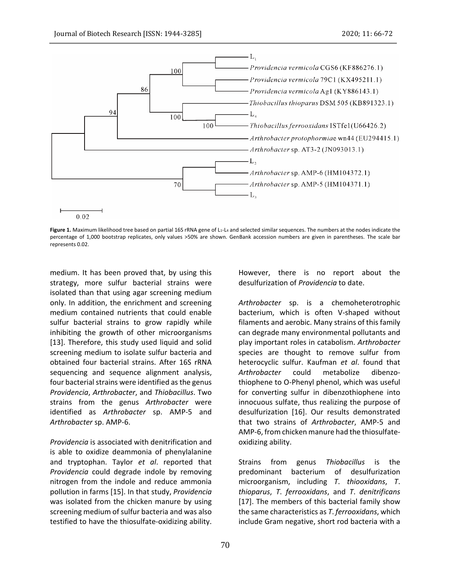

Figure 1. Maximum likelihood tree based on partial 16S rRNA gene of L<sub>1</sub>-L<sub>4</sub> and selected similar sequences. The numbers at the nodes indicate the percentage of 1,000 bootstrap replicates, only values >50% are shown. GenBank accession numbers are given in parentheses. The scale bar represents 0.02.

medium. It has been proved that, by using this strategy, more sulfur bacterial strains were isolated than that using agar screening medium only. In addition, the enrichment and screening medium contained nutrients that could enable sulfur bacterial strains to grow rapidly while inhibiting the growth of other microorganisms [13]. Therefore, this study used liquid and solid screening medium to isolate sulfur bacteria and obtained four bacterial strains. After 16S rRNA sequencing and sequence alignment analysis, four bacterial strains were identified asthe genus *Providencia*, *Arthrobacter*, and *Thiobacillus*. Two strains from the genus *Arthrobacter* were identified as *Arthrobacter* sp. AMP-5 and *Arthrobacter* sp. AMP-6.

*Providencia* is associated with denitrification and is able to oxidize deammonia of phenylalanine and tryptophan. Taylor *et al*. reported that *Providencia* could degrade indole by removing nitrogen from the indole and reduce ammonia pollution in farms [15]. In that study, *Providencia* was isolated from the chicken manure by using screening medium of sulfur bacteria and was also testified to have the thiosulfate-oxidizing ability.

However, there is no report about the desulfurization of *Providencia* to date.

*Arthrobacter* sp. is a chemoheterotrophic bacterium, which is often V-shaped without filaments and aerobic. Many strains of this family can degrade many environmental pollutants and play important roles in catabolism. *Arthrobacter* species are thought to remove sulfur from heterocyclic sulfur. Kaufman *et al*. found that *Arthrobacter* could metabolize dibenzothiophene to O-Phenyl phenol, which was useful for converting sulfur in dibenzothiophene into innocuous sulfate, thus realizing the purpose of desulfurization [16]. Our results demonstrated that two strains of *Arthrobacter*, AMP-5 and AMP-6, from chicken manure had the thiosulfateoxidizing ability.

Strains from genus *Thiobacillus* is the predominant bacterium of desulfurization microorganism, including *T*. *thiooxidans*, *T*. *thioparus*, *T*. *ferrooxidans*, and *T*. *denitrificans* [17]. The members of this bacterial family show the same characteristics as *T*. *ferrooxidans*, which include Gram negative, short rod bacteria with a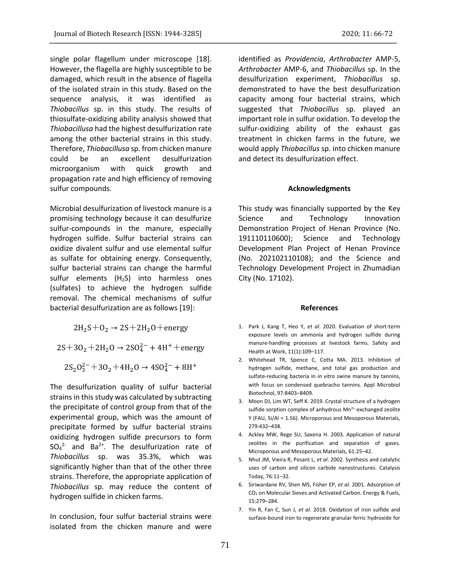single polar flagellum under microscope [18]. However, the flagella are highly susceptible to be damaged, which result in the absence of flagella of the isolated strain in this study. Based on the sequence analysis, it was identified as *Thiobacillus* sp. in this study. The results of thiosulfate-oxidizing ability analysis showed that *Thiobacillusa* had the highest desulfurization rate among the other bacterial strains in this study. Therefore, *Thiobacillusa* sp. from chicken manure could be an excellent desulfurization microorganism with quick growth and propagation rate and high efficiency of removing sulfur compounds.

Microbial desulfurization of livestock manure is a promising technology because it can desulfurize sulfur-compounds in the manure, especially hydrogen sulfide. Sulfur bacterial strains can oxidize divalent sulfur and use elemental sulfur as sulfate for obtaining energy. Consequently, sulfur bacterial strains can change the harmful sulfur elements  $(H<sub>2</sub>S)$  into harmless ones (sulfates) to achieve the hydrogen sulfide removal. The chemical mechanisms of sulfur bacterial desulfurization are as follows [19]:

 $2H_2S+O_2 \rightarrow 2S+2H_2O+$ energy

 $2S+3O_2+2H_2O \rightarrow 2SO_4^{2-}+4H^+$ +energy

 $2S_2O_3^{2-} + 3O_2 + 4H_2O \rightarrow 4SO_4^{2-} + 8H^+$ 

The desulfurization quality of sulfur bacterial strains in this study was calculated by subtracting the precipitate of control group from that of the experimental group, which was the amount of precipitate formed by sulfur bacterial strains oxidizing hydrogen sulfide precursors to form  $SO_4^2$  and Ba<sup>2+</sup>. The desulfurization rate of *Thiobacillus* sp. was 35.3%, which was significantly higher than that of the other three strains. Therefore, the appropriate application of *Thiobacillus* sp. may reduce the content of hydrogen sulfide in chicken farms.

In conclusion, four sulfur bacterial strains were isolated from the chicken manure and were

identified as *Providencia*, *Arthrobacter* AMP-5, *Arthrobacter* AMP-6, and *Thiobacillus* sp. In the desulfurization experiment, *Thiobacillus* sp. demonstrated to have the best desulfurization capacity among four bacterial strains, which suggested that *Thiobacillus* sp. played an important role in sulfur oxidation. To develop the sulfur-oxidizing ability of the exhaust gas treatment in chicken farms in the future, we would apply *Thiobacillus* sp. into chicken manure and detect its desulfurization effect.

#### **Acknowledgments**

This study was financially supported by the Key Science and Technology Innovation Demonstration Project of Henan Province (No. 191110110600); Science and Technology Development Plan Project of Henan Province (No. 202102110108); and the Science and Technology Development Project in Zhumadian City (No. 17102).

#### **References**

- 1. Park J, Kang T, Heo Y, *et al*. 2020. Evaluation of short-term exposure levels on ammonia and hydrogen sulfide during manure-handling processes at livestock farms. Safety and Health at Work, 11(1):109–117.
- 2. Whitehead TR, Spence C, Cotta MA. 2013. Inhibition of hydrogen sulfide, methane, and total gas production and sulfate-reducing bacteria in *in vitro* swine manure by tannins, with focus on condensed quebracho tannins. Appl Microbiol Biotechnol, 97:8403–8409.
- 3. Moon DJ, Lim WT, Seff K. 2019. Crystal structure of a hydrogen sulfide sorption complex of anhydrous  $Mn^{2+}$ -exchanged zeolite Y (FAU, Si/Al = 1.56). Microporous and Mesoporous Materials, 279:432–438.
- 4. Ackley MW, Rege SU, Saxena H. 2003. Application of natural zeolites in the purification and separation of gases. Microporous and Mesoporous Materials, 61:25–42.
- 5. Nhut JM, Vieira R, Pesant L, *et al*. 2002. Synthesis and catalytic uses of carbon and silicon carbide nanostructures. Catalysis Today, 76:11–32.
- 6. Siriwardane RV, Shen MS, Fisher EP, *et al*. 2001. Adsorption of CO<sup>2</sup> on Molecular Sieves and Activated Carbon. Energy & Fuels, 15:279–284.
- 7. Yin R, Fan C, Sun J, *et al*. 2018. Oxidation of iron sulfide and surface-bound iron to regenerate granular ferric hydroxide for